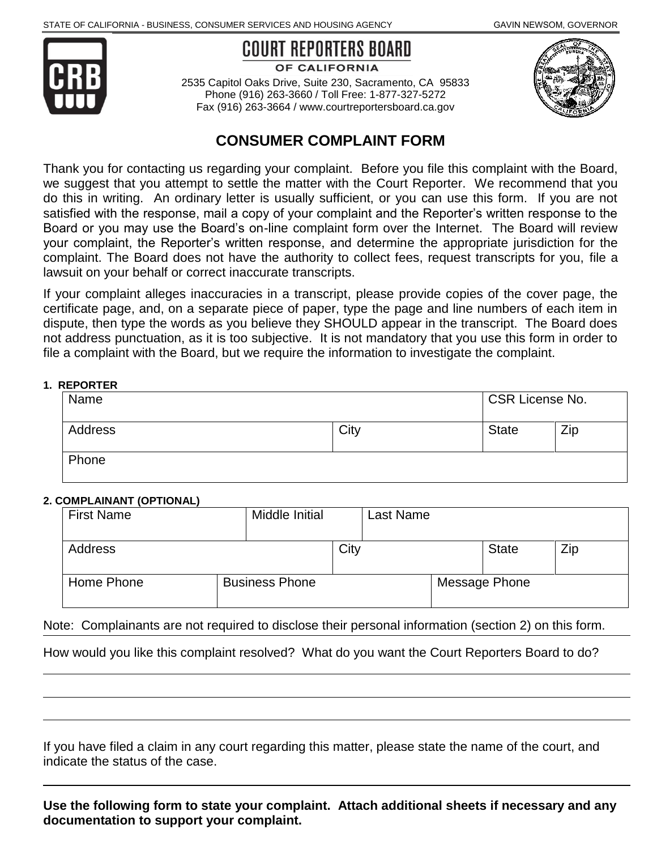

**COURT REPORTERS BOARD** 

OF CALIFORNIA

2535 Capitol Oaks Drive, Suite 230, Sacramento, CA 95833 Phone (916) 263-3660 / Toll Free: 1-877-327-5272 Fax (916) 263-3664 / [www.courtreportersboard.ca.gov](http://www.courtreportersboard.ca.gov)



# **CONSUMER COMPLAINT FORM**

Thank you for contacting us regarding your complaint. Before you file this complaint with the Board, we suggest that you attempt to settle the matter with the Court Reporter. We recommend that you do this in writing. An ordinary letter is usually sufficient, or you can use this form. If you are not satisfied with the response, mail a copy of your complaint and the Reporter's written response to the Board or you may use the Board's on-line complaint form over the Internet. The Board will review your complaint, the Reporter's written response, and determine the appropriate jurisdiction for the complaint. The Board does not have the authority to collect fees, request transcripts for you, file a lawsuit on your behalf or correct inaccurate transcripts.

If your complaint alleges inaccuracies in a transcript, please provide copies of the cover page, the certificate page, and, on a separate piece of paper, type the page and line numbers of each item in dispute, then type the words as you believe they SHOULD appear in the transcript. The Board does not address punctuation, as it is too subjective. It is not mandatory that you use this form in order to file a complaint with the Board, but we require the information to investigate the complaint.

#### **1. REPORTER**

| Name    | CSR License No. |              |     |
|---------|-----------------|--------------|-----|
| Address | City            | <b>State</b> | Zip |
| Phone   |                 |              |     |

#### **2. COMPLAINANT (OPTIONAL)**

| $\sim$ $\sim$<br>. |                       |                |      |           |               |     |  |
|--------------------|-----------------------|----------------|------|-----------|---------------|-----|--|
| <b>First Name</b>  |                       | Middle Initial |      | Last Name |               |     |  |
| Address            |                       |                | City |           | <b>State</b>  | Zip |  |
| Home Phone         | <b>Business Phone</b> |                |      |           | Message Phone |     |  |

Note: Complainants are not required to disclose their personal information (section 2) on this form.

How would you like this complaint resolved? What do you want the Court Reporters Board to do?

If you have filed a claim in any court regarding this matter, please state the name of the court, and indicate the status of the case.

**Use the following form to state your complaint. Attach additional sheets if necessary and any documentation to support your complaint.**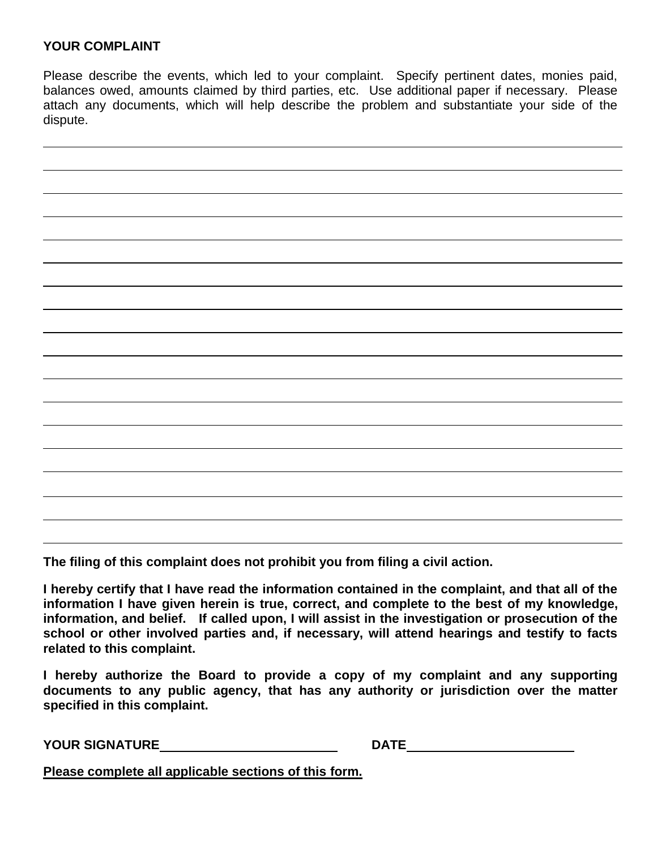## **YOUR COMPLAINT**

Please describe the events, which led to your complaint. Specify pertinent dates, monies paid, balances owed, amounts claimed by third parties, etc. Use additional paper if necessary. Please attach any documents, which will help describe the problem and substantiate your side of the dispute.

**The filing of this complaint does not prohibit you from filing a civil action.** 

**I hereby certify that I have read the information contained in the complaint, and that all of the information I have given herein is true, correct, and complete to the best of my knowledge, information, and belief. If called upon, I will assist in the investigation or prosecution of the school or other involved parties and, if necessary, will attend hearings and testify to facts related to this complaint.** 

**I hereby authorize the Board to provide a copy of my complaint and any supporting documents to any public agency, that has any authority or jurisdiction over the matter specified in this complaint.** 

**YOUR SIGNATURE DATE** 

**Please complete all applicable sections of this form.**